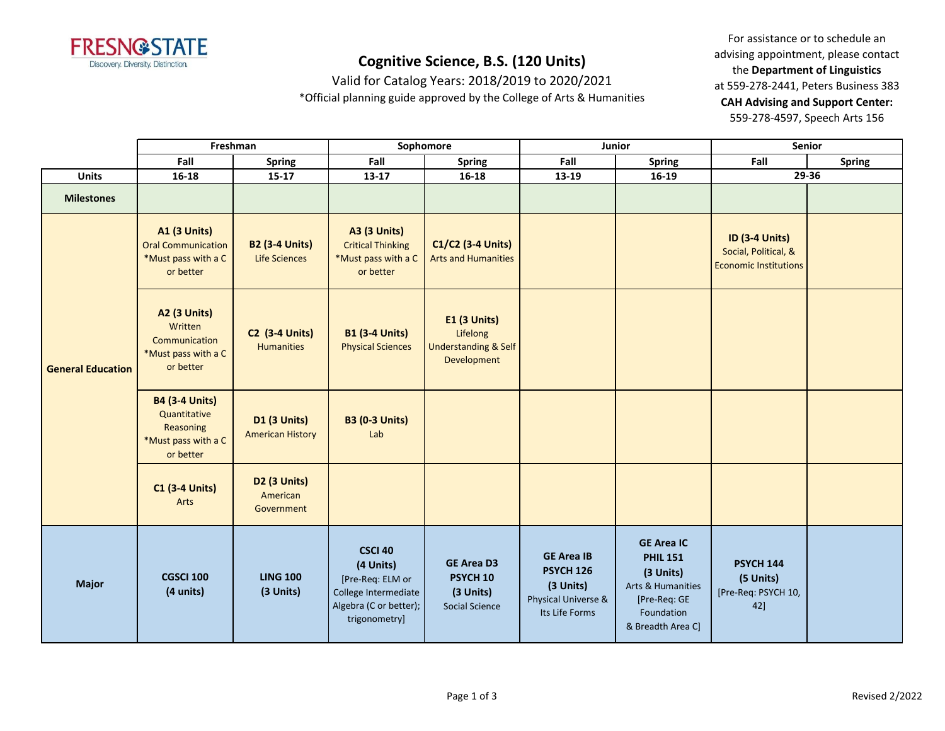

Valid for Catalog Years: 2018/2019 to 2020/2021

\*Official planning guide approved by the College of Arts & Humanities

|                          | Freshman                                                                               |                                                    | Sophomore                                                                                                          |                                                                                   | Junior                                                                                      |                                                                                                                           | Senior                                                                        |               |
|--------------------------|----------------------------------------------------------------------------------------|----------------------------------------------------|--------------------------------------------------------------------------------------------------------------------|-----------------------------------------------------------------------------------|---------------------------------------------------------------------------------------------|---------------------------------------------------------------------------------------------------------------------------|-------------------------------------------------------------------------------|---------------|
|                          | Fall<br><b>Spring</b>                                                                  |                                                    | Fall                                                                                                               | <b>Spring</b>                                                                     | Fall                                                                                        | <b>Spring</b>                                                                                                             | Fall                                                                          | <b>Spring</b> |
| <b>Units</b>             | $16 - 18$                                                                              | $15 - 17$                                          | 13-17<br>$16 - 18$<br>13-19<br>$16-19$                                                                             |                                                                                   |                                                                                             | 29-36                                                                                                                     |                                                                               |               |
| <b>Milestones</b>        |                                                                                        |                                                    |                                                                                                                    |                                                                                   |                                                                                             |                                                                                                                           |                                                                               |               |
| <b>General Education</b> | <b>A1 (3 Units)</b><br><b>Oral Communication</b><br>*Must pass with a C<br>or better   | <b>B2 (3-4 Units)</b><br><b>Life Sciences</b>      | <b>A3 (3 Units)</b><br><b>Critical Thinking</b><br>*Must pass with a C<br>or better                                | C1/C2 (3-4 Units)<br><b>Arts and Humanities</b>                                   |                                                                                             |                                                                                                                           | <b>ID (3-4 Units)</b><br>Social, Political, &<br><b>Economic Institutions</b> |               |
|                          | <b>A2 (3 Units)</b><br>Written<br>Communication<br>*Must pass with a C<br>or better    | <b>C2 (3-4 Units)</b><br><b>Humanities</b>         | <b>B1 (3-4 Units)</b><br><b>Physical Sciences</b>                                                                  | <b>E1 (3 Units)</b><br>Lifelong<br><b>Understanding &amp; Self</b><br>Development |                                                                                             |                                                                                                                           |                                                                               |               |
|                          | <b>B4 (3-4 Units)</b><br>Quantitative<br>Reasoning<br>*Must pass with a C<br>or better | <b>D1 (3 Units)</b><br><b>American History</b>     | <b>B3 (0-3 Units)</b><br>Lab                                                                                       |                                                                                   |                                                                                             |                                                                                                                           |                                                                               |               |
|                          | <b>C1 (3-4 Units)</b><br>Arts                                                          | D <sub>2</sub> (3 Units)<br>American<br>Government |                                                                                                                    |                                                                                   |                                                                                             |                                                                                                                           |                                                                               |               |
| <b>Major</b>             | <b>CGSCI 100</b><br>(4 units)                                                          | <b>LING 100</b><br>(3 Units)                       | <b>CSCI 40</b><br>(4 Units)<br>[Pre-Req: ELM or<br>College Intermediate<br>Algebra (C or better);<br>trigonometry] | <b>GE Area D3</b><br>PSYCH <sub>10</sub><br>(3 Units)<br><b>Social Science</b>    | <b>GE Area IB</b><br><b>PSYCH 126</b><br>(3 Units)<br>Physical Universe &<br>Its Life Forms | <b>GE Area IC</b><br><b>PHIL 151</b><br>(3 Units)<br>Arts & Humanities<br>[Pre-Req: GE<br>Foundation<br>& Breadth Area C] | <b>PSYCH 144</b><br>(5 Units)<br>[Pre-Req: PSYCH 10,<br>42]                   |               |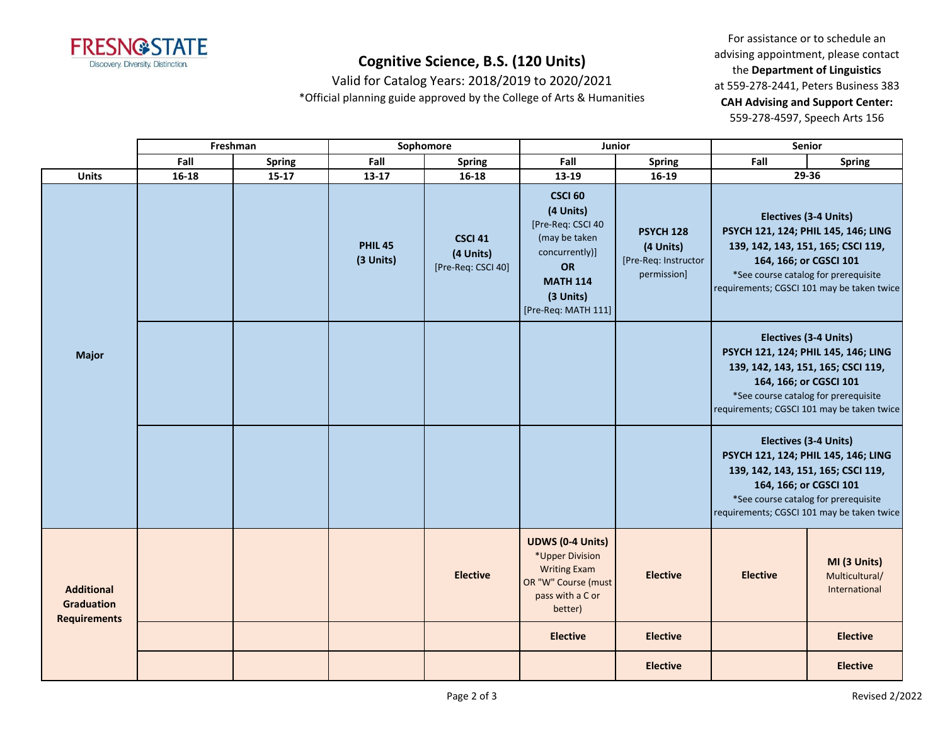

Valid for Catalog Years: 2018/2019 to 2020/2021

\*Official planning guide approved by the College of Arts & Humanities

|                                                               |           | Freshman      | Sophomore                   |                                                   | Junior                                                                                                                                           |                                                                      | Senior                                                                                                                                                                                                             |                                                 |
|---------------------------------------------------------------|-----------|---------------|-----------------------------|---------------------------------------------------|--------------------------------------------------------------------------------------------------------------------------------------------------|----------------------------------------------------------------------|--------------------------------------------------------------------------------------------------------------------------------------------------------------------------------------------------------------------|-------------------------------------------------|
|                                                               | Fall      | <b>Spring</b> | Fall                        | <b>Spring</b>                                     | Fall                                                                                                                                             | <b>Spring</b>                                                        | Fall                                                                                                                                                                                                               | <b>Spring</b>                                   |
| <b>Units</b>                                                  | $16 - 18$ | $15 - 17$     | $13 - 17$                   | $16 - 18$                                         | 13-19                                                                                                                                            | $16-19$                                                              | $29 - 36$                                                                                                                                                                                                          |                                                 |
|                                                               |           |               | <b>PHIL 45</b><br>(3 Units) | <b>CSCI 41</b><br>(4 Units)<br>[Pre-Req: CSCI 40] | <b>CSCI 60</b><br>(4 Units)<br>[Pre-Req: CSCI 40<br>(may be taken<br>concurrently)]<br>OR<br><b>MATH 114</b><br>(3 Units)<br>[Pre-Req: MATH 111] | <b>PSYCH 128</b><br>(4 Units)<br>[Pre-Req: Instructor<br>permission] | Electives (3-4 Units)<br>PSYCH 121, 124; PHIL 145, 146; LING<br>139, 142, 143, 151, 165; CSCI 119,<br>164, 166; or CGSCI 101<br>*See course catalog for prerequisite<br>requirements; CGSCI 101 may be taken twice |                                                 |
| <b>Major</b>                                                  |           |               |                             |                                                   |                                                                                                                                                  |                                                                      | Electives (3-4 Units)<br>PSYCH 121, 124; PHIL 145, 146; LING<br>139, 142, 143, 151, 165; CSCI 119,<br>164, 166; or CGSCI 101<br>*See course catalog for prerequisite<br>requirements; CGSCI 101 may be taken twice |                                                 |
|                                                               |           |               |                             |                                                   |                                                                                                                                                  |                                                                      | Electives (3-4 Units)<br>PSYCH 121, 124; PHIL 145, 146; LING<br>139, 142, 143, 151, 165; CSCI 119,<br>164, 166; or CGSCI 101<br>*See course catalog for prerequisite<br>requirements; CGSCI 101 may be taken twice |                                                 |
| <b>Additional</b><br><b>Graduation</b><br><b>Requirements</b> |           |               |                             | <b>Elective</b>                                   | <b>UDWS (0-4 Units)</b><br>*Upper Division<br><b>Writing Exam</b><br>OR "W" Course (must<br>pass with a C or<br>better)                          | <b>Elective</b>                                                      | <b>Elective</b>                                                                                                                                                                                                    | MI (3 Units)<br>Multicultural/<br>International |
|                                                               |           |               |                             |                                                   | <b>Elective</b>                                                                                                                                  | <b>Elective</b>                                                      |                                                                                                                                                                                                                    | <b>Elective</b>                                 |
|                                                               |           |               |                             |                                                   |                                                                                                                                                  | <b>Elective</b>                                                      |                                                                                                                                                                                                                    | <b>Elective</b>                                 |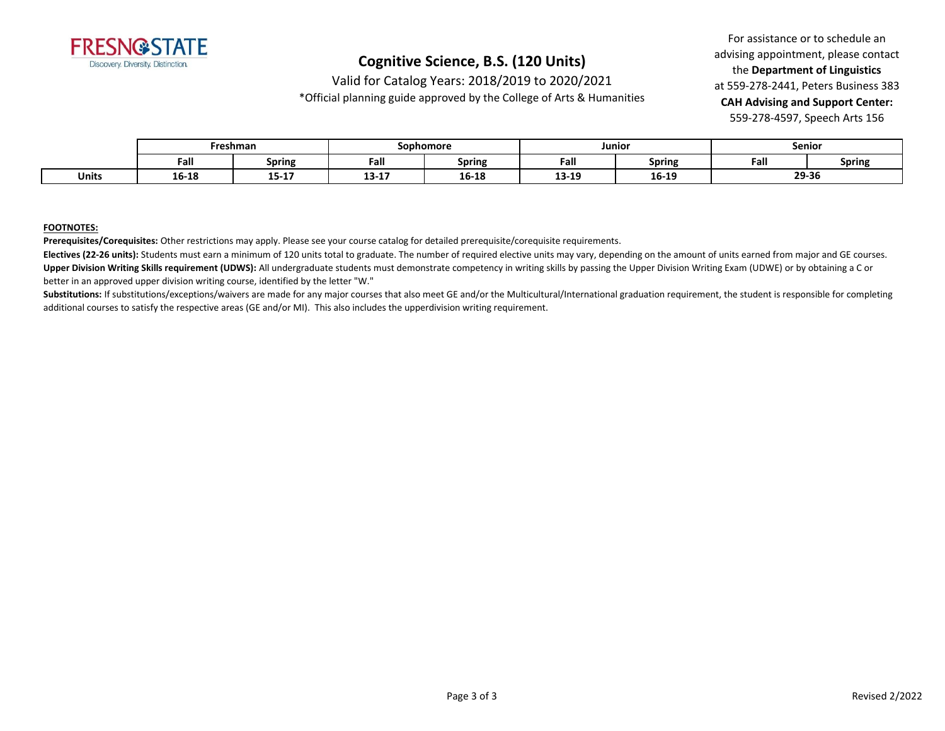

Valid for Catalog Years: 2018/2019 to 2020/2021

\*Official planning guide approved by the College of Arts & Humanities

For assistance or to schedule an advising appointment, please contact the **Department of Linguistics** at 559-278-2441, Peters Business 383 **CAH Advising and Support Center:**  559-278-4597, Speech Arts 156

|              | Freshman |           | Sophomore                                                                                                                                                                                                                                                                                                                                                                                    |               | Junioı |               | Senior |               |
|--------------|----------|-----------|----------------------------------------------------------------------------------------------------------------------------------------------------------------------------------------------------------------------------------------------------------------------------------------------------------------------------------------------------------------------------------------------|---------------|--------|---------------|--------|---------------|
|              | Fall     | Spring    | Fall                                                                                                                                                                                                                                                                                                                                                                                         | <b>Spring</b> | Fall   | <b>Spring</b> | Fall   | <b>Spring</b> |
| <b>Units</b> | 16-18    | $15 - 17$ | $\overline{A}$ $\overline{A}$ $\overline{A}$ $\overline{A}$ $\overline{A}$ $\overline{A}$ $\overline{A}$ $\overline{A}$ $\overline{A}$ $\overline{A}$ $\overline{A}$ $\overline{A}$ $\overline{A}$ $\overline{A}$ $\overline{A}$ $\overline{A}$ $\overline{A}$ $\overline{A}$ $\overline{A}$ $\overline{A}$ $\overline{A}$ $\overline{A}$ $\overline{A}$ $\overline{A}$ $\overline{$<br>19-T | 16-18         | 13-19  | 16-19         | 29-36  |               |

#### **FOOTNOTES:**

**Prerequisites/Corequisites:** Other restrictions may apply. Please see your course catalog for detailed prerequisite/corequisite requirements.

**Electives (22-26 units):** Students must earn a minimum of 120 units total to graduate. The number of required elective units may vary, depending on the amount of units earned from major and GE courses. Upper Division Writing Skills requirement (UDWS): All undergraduate students must demonstrate competency in writing skills by passing the Upper Division Writing Exam (UDWE) or by obtaining a C or better in an approved upper division writing course, identified by the letter "W."

Substitutions: If substitutions/exceptions/waivers are made for any major courses that also meet GE and/or the Multicultural/International graduation requirement, the student is responsible for completing additional courses to satisfy the respective areas (GE and/or MI). This also includes the upperdivision writing requirement.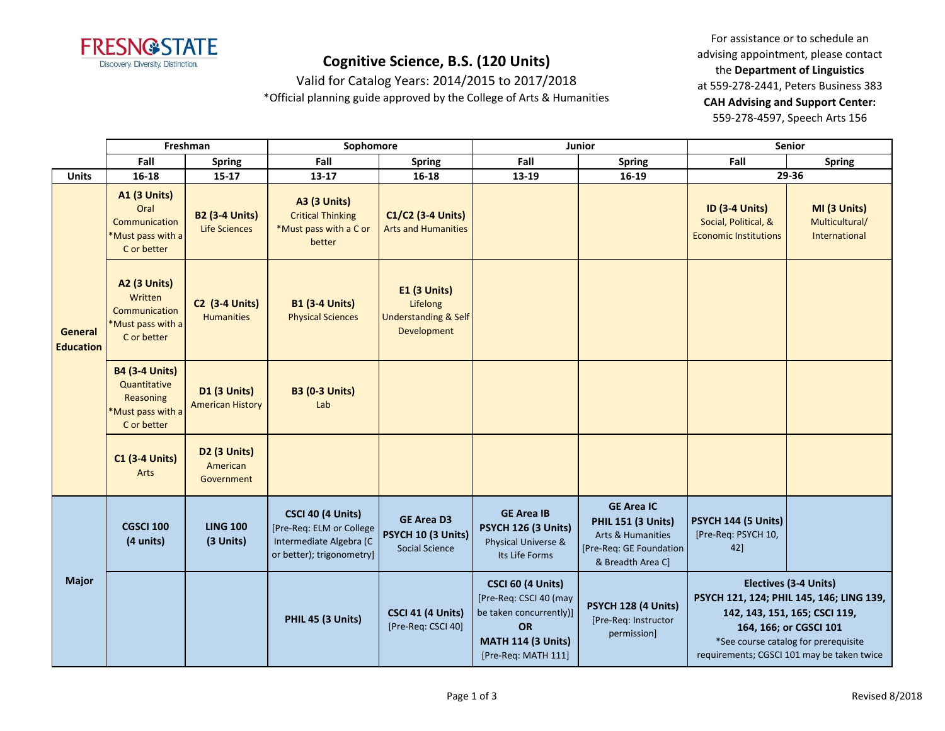

Valid for Catalog Years: 2014/2015 to 2017/2018

\*Official planning guide approved by the College of Arts & Humanities

|                             |                                                                                        | Freshman                                       | Sophomore                                                                                             |                                                                            |                                                                                                                                                | Junior                                                                                                              | Senior                                                                        |                                                                                                                                                                                                                    |
|-----------------------------|----------------------------------------------------------------------------------------|------------------------------------------------|-------------------------------------------------------------------------------------------------------|----------------------------------------------------------------------------|------------------------------------------------------------------------------------------------------------------------------------------------|---------------------------------------------------------------------------------------------------------------------|-------------------------------------------------------------------------------|--------------------------------------------------------------------------------------------------------------------------------------------------------------------------------------------------------------------|
|                             | Fall                                                                                   | <b>Spring</b>                                  | Fall                                                                                                  | <b>Spring</b>                                                              | Fall                                                                                                                                           | <b>Spring</b>                                                                                                       | Fall                                                                          | <b>Spring</b>                                                                                                                                                                                                      |
| <b>Units</b>                | 16-18                                                                                  | $15 - 17$                                      | $13 - 17$                                                                                             | $16 - 18$                                                                  | 13-19                                                                                                                                          | 16-19                                                                                                               |                                                                               | 29-36                                                                                                                                                                                                              |
| General<br><b>Education</b> | <b>A1 (3 Units)</b><br>Oral<br>Communication<br>*Must pass with a<br>C or better       | <b>B2 (3-4 Units)</b><br><b>Life Sciences</b>  | <b>A3 (3 Units)</b><br><b>Critical Thinking</b><br>*Must pass with a C or<br>better                   | C1/C2 (3-4 Units)<br><b>Arts and Humanities</b>                            |                                                                                                                                                |                                                                                                                     | <b>ID (3-4 Units)</b><br>Social, Political, &<br><b>Economic Institutions</b> | MI (3 Units)<br>Multicultural/<br>International                                                                                                                                                                    |
|                             | A2 (3 Units)<br>Written<br>Communication<br>*Must pass with a<br>C or better           | <b>C2 (3-4 Units)</b><br><b>Humanities</b>     | <b>B1 (3-4 Units)</b><br><b>Physical Sciences</b>                                                     | E1 (3 Units)<br>Lifelong<br><b>Understanding &amp; Self</b><br>Development |                                                                                                                                                |                                                                                                                     |                                                                               |                                                                                                                                                                                                                    |
|                             | <b>B4 (3-4 Units)</b><br>Quantitative<br>Reasoning<br>*Must pass with a<br>C or better | <b>D1 (3 Units)</b><br><b>American History</b> | <b>B3 (0-3 Units)</b><br>Lab                                                                          |                                                                            |                                                                                                                                                |                                                                                                                     |                                                                               |                                                                                                                                                                                                                    |
|                             | <b>C1 (3-4 Units)</b><br><b>Arts</b>                                                   | D2 (3 Units)<br>American<br>Government         |                                                                                                       |                                                                            |                                                                                                                                                |                                                                                                                     |                                                                               |                                                                                                                                                                                                                    |
| <b>Major</b>                | <b>CGSCI 100</b><br>(4 units)                                                          | <b>LING 100</b><br>(3 Units)                   | CSCI 40 (4 Units)<br>[Pre-Req: ELM or College<br>Intermediate Algebra (C<br>or better); trigonometry] | <b>GE Area D3</b><br>PSYCH 10 (3 Units)<br>Social Science                  | <b>GE Area IB</b><br><b>PSYCH 126 (3 Units)</b><br>Physical Universe &<br>Its Life Forms                                                       | <b>GE Area IC</b><br><b>PHIL 151 (3 Units)</b><br>Arts & Humanities<br>[Pre-Req: GE Foundation<br>& Breadth Area C] | PSYCH 144 (5 Units)<br>[Pre-Req: PSYCH 10,<br>42]                             |                                                                                                                                                                                                                    |
|                             |                                                                                        |                                                | PHIL 45 (3 Units)                                                                                     | CSCI 41 (4 Units)<br>[Pre-Req: CSCI 40]                                    | <b>CSCI 60 (4 Units)</b><br>[Pre-Req: CSCI 40 (may<br>be taken concurrently)]<br><b>OR</b><br><b>MATH 114 (3 Units)</b><br>[Pre-Req: MATH 111] | PSYCH 128 (4 Units)<br>[Pre-Req: Instructor<br>permission]                                                          |                                                                               | Electives (3-4 Units)<br>PSYCH 121, 124; PHIL 145, 146; LING 139,<br>142, 143, 151, 165; CSCI 119,<br>164, 166; or CGSCI 101<br>*See course catalog for prerequisite<br>requirements; CGSCI 101 may be taken twice |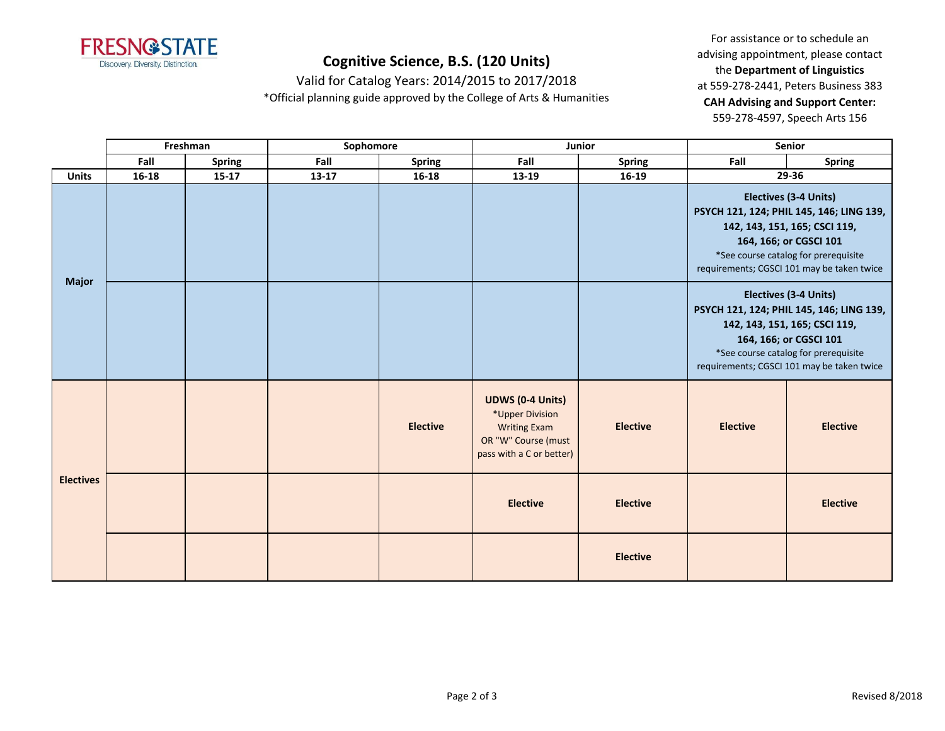

Valid for Catalog Years: 2014/2015 to 2017/2018 \*Official planning guide approved by the College of Arts & Humanities

|                  |           | Freshman      | Sophomore |                 |                                                                                                                      | Junior          | Senior                                                                                                                                                                                                             |                                                                                                                                                                                                                           |
|------------------|-----------|---------------|-----------|-----------------|----------------------------------------------------------------------------------------------------------------------|-----------------|--------------------------------------------------------------------------------------------------------------------------------------------------------------------------------------------------------------------|---------------------------------------------------------------------------------------------------------------------------------------------------------------------------------------------------------------------------|
|                  | Fall      | <b>Spring</b> | Fall      | <b>Spring</b>   | Fall                                                                                                                 | <b>Spring</b>   | Fall                                                                                                                                                                                                               | <b>Spring</b>                                                                                                                                                                                                             |
| <b>Units</b>     | $16 - 18$ | $15 - 17$     | 13-17     | $16 - 18$       | 13-19                                                                                                                | 16-19           |                                                                                                                                                                                                                    | 29-36                                                                                                                                                                                                                     |
| <b>Major</b>     |           |               |           |                 |                                                                                                                      |                 | Electives (3-4 Units)<br>PSYCH 121, 124; PHIL 145, 146; LING 139,<br>142, 143, 151, 165; CSCI 119,<br>164, 166; or CGSCI 101<br>*See course catalog for prerequisite<br>requirements; CGSCI 101 may be taken twice |                                                                                                                                                                                                                           |
|                  |           |               |           |                 |                                                                                                                      |                 |                                                                                                                                                                                                                    | <b>Electives (3-4 Units)</b><br>PSYCH 121, 124; PHIL 145, 146; LING 139,<br>142, 143, 151, 165; CSCI 119,<br>164, 166; or CGSCI 101<br>*See course catalog for prerequisite<br>requirements; CGSCI 101 may be taken twice |
|                  |           |               |           | <b>Elective</b> | <b>UDWS (0-4 Units)</b><br>*Upper Division<br><b>Writing Exam</b><br>OR "W" Course (must<br>pass with a C or better) | <b>Elective</b> | <b>Elective</b>                                                                                                                                                                                                    | <b>Elective</b>                                                                                                                                                                                                           |
| <b>Electives</b> |           |               |           |                 | <b>Elective</b>                                                                                                      | <b>Elective</b> |                                                                                                                                                                                                                    | <b>Elective</b>                                                                                                                                                                                                           |
|                  |           |               |           |                 |                                                                                                                      | <b>Elective</b> |                                                                                                                                                                                                                    |                                                                                                                                                                                                                           |